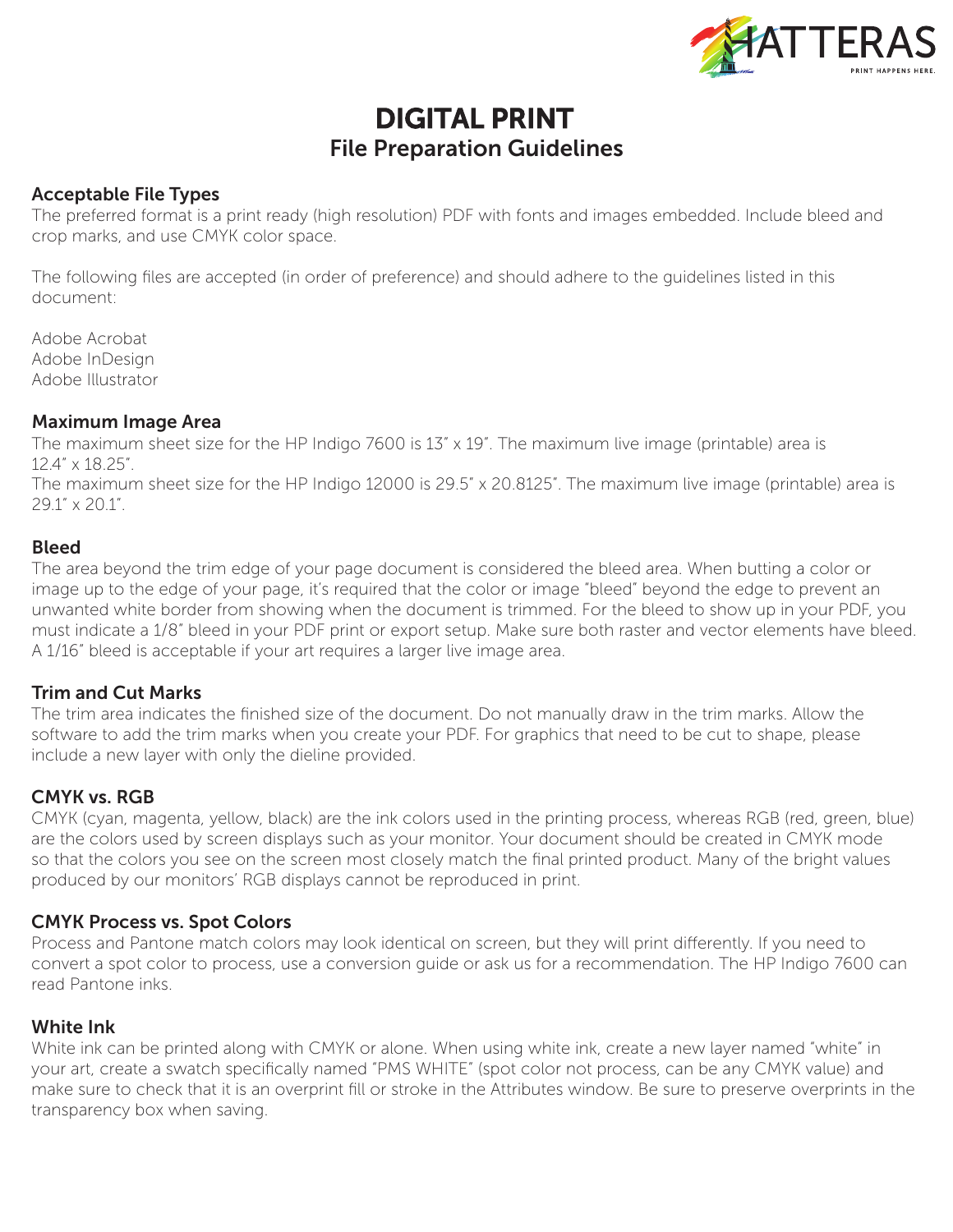

# DIGITAL PRINT File Preparation Guidelines

#### Acceptable File Types

The preferred format is a print ready (high resolution) PDF with fonts and images embedded. Include bleed and crop marks, and use CMYK color space.

The following files are accepted (in order of preference) and should adhere to the guidelines listed in this document:

Adobe Acrobat Adobe InDesign Adobe Illustrator

#### Maximum Image Area

The maximum sheet size for the HP Indigo 7600 is 13" x 19". The maximum live image (printable) area is 12.4" x 18.25".

The maximum sheet size for the HP Indigo 12000 is 29.5" x 20.8125". The maximum live image (printable) area is 29.1" x 20.1".

#### Bleed

The area beyond the trim edge of your page document is considered the bleed area. When butting a color or image up to the edge of your page, it's required that the color or image "bleed" beyond the edge to prevent an unwanted white border from showing when the document is trimmed. For the bleed to show up in your PDF, you must indicate a 1/8" bleed in your PDF print or export setup. Make sure both raster and vector elements have bleed. A 1/16" bleed is acceptable if your art requires a larger live image area.

#### Trim and Cut Marks

The trim area indicates the finished size of the document. Do not manually draw in the trim marks. Allow the software to add the trim marks when you create your PDF. For graphics that need to be cut to shape, please include a new layer with only the dieline provided.

#### CMYK vs. RGB

CMYK (cyan, magenta, yellow, black) are the ink colors used in the printing process, whereas RGB (red, green, blue) are the colors used by screen displays such as your monitor. Your document should be created in CMYK mode so that the colors you see on the screen most closely match the final printed product. Many of the bright values produced by our monitors' RGB displays cannot be reproduced in print.

#### CMYK Process vs. Spot Colors

Process and Pantone match colors may look identical on screen, but they will print differently. If you need to convert a spot color to process, use a conversion guide or ask us for a recommendation. The HP Indigo 7600 can read Pantone inks.

#### White Ink

White ink can be printed along with CMYK or alone. When using white ink, create a new layer named "white" in your art, create a swatch specifically named "PMS WHITE" (spot color not process, can be any CMYK value) and make sure to check that it is an overprint fill or stroke in the Attributes window. Be sure to preserve overprints in the transparency box when saving.